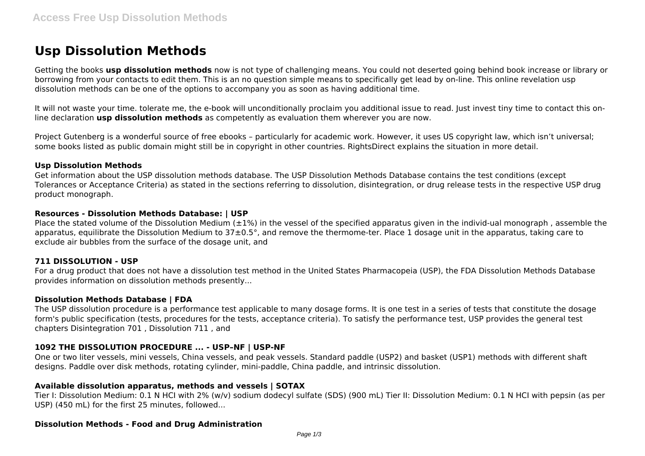# **Usp Dissolution Methods**

Getting the books **usp dissolution methods** now is not type of challenging means. You could not deserted going behind book increase or library or borrowing from your contacts to edit them. This is an no question simple means to specifically get lead by on-line. This online revelation usp dissolution methods can be one of the options to accompany you as soon as having additional time.

It will not waste your time. tolerate me, the e-book will unconditionally proclaim you additional issue to read. Just invest tiny time to contact this online declaration **usp dissolution methods** as competently as evaluation them wherever you are now.

Project Gutenberg is a wonderful source of free ebooks – particularly for academic work. However, it uses US copyright law, which isn't universal; some books listed as public domain might still be in copyright in other countries. RightsDirect explains the situation in more detail.

#### **Usp Dissolution Methods**

Get information about the USP dissolution methods database. The USP Dissolution Methods Database contains the test conditions (except Tolerances or Acceptance Criteria) as stated in the sections referring to dissolution, disintegration, or drug release tests in the respective USP drug product monograph.

## **Resources - Dissolution Methods Database: | USP**

Place the stated volume of the Dissolution Medium  $(\pm 1\%)$  in the vessel of the specified apparatus given in the individ-ual monograph, assemble the apparatus, equilibrate the Dissolution Medium to 37±0.5°, and remove the thermome-ter. Place 1 dosage unit in the apparatus, taking care to exclude air bubbles from the surface of the dosage unit, and

# **711 DISSOLUTION - USP**

For a drug product that does not have a dissolution test method in the United States Pharmacopeia (USP), the FDA Dissolution Methods Database provides information on dissolution methods presently...

## **Dissolution Methods Database | FDA**

The USP dissolution procedure is a performance test applicable to many dosage forms. It is one test in a series of tests that constitute the dosage form's public specification (tests, procedures for the tests, acceptance criteria). To satisfy the performance test, USP provides the general test chapters Disintegration 701 , Dissolution 711 , and

# **1092 THE DISSOLUTION PROCEDURE ... - USP–NF | USP-NF**

One or two liter vessels, mini vessels, China vessels, and peak vessels. Standard paddle (USP2) and basket (USP1) methods with different shaft designs. Paddle over disk methods, rotating cylinder, mini-paddle, China paddle, and intrinsic dissolution.

## **Available dissolution apparatus, methods and vessels | SOTAX**

Tier I: Dissolution Medium: 0.1 N HCI with 2% (w/v) sodium dodecyl sulfate (SDS) (900 mL) Tier II: Dissolution Medium: 0.1 N HCI with pepsin (as per USP) (450 mL) for the first 25 minutes, followed...

## **Dissolution Methods - Food and Drug Administration**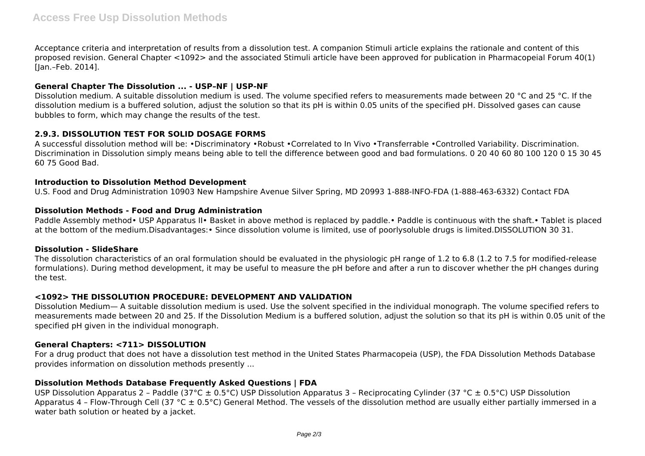Acceptance criteria and interpretation of results from a dissolution test. A companion Stimuli article explains the rationale and content of this proposed revision. General Chapter <1092> and the associated Stimuli article have been approved for publication in Pharmacopeial Forum 40(1) [Jan.–Feb. 2014].

## **General Chapter The Dissolution ... - USP–NF | USP-NF**

Dissolution medium. A suitable dissolution medium is used. The volume specified refers to measurements made between 20 °C and 25 °C. If the dissolution medium is a buffered solution, adjust the solution so that its pH is within 0.05 units of the specified pH. Dissolved gases can cause bubbles to form, which may change the results of the test.

## **2.9.3. DISSOLUTION TEST FOR SOLID DOSAGE FORMS**

A successful dissolution method will be: •Discriminatory •Robust •Correlated to In Vivo •Transferrable •Controlled Variability. Discrimination. Discrimination in Dissolution simply means being able to tell the difference between good and bad formulations. 0 20 40 60 80 100 120 0 15 30 45 60 75 Good Bad.

## **Introduction to Dissolution Method Development**

U.S. Food and Drug Administration 10903 New Hampshire Avenue Silver Spring, MD 20993 1-888-INFO-FDA (1-888-463-6332) Contact FDA

## **Dissolution Methods - Food and Drug Administration**

Paddle Assembly method• USP Apparatus II• Basket in above method is replaced by paddle.• Paddle is continuous with the shaft.• Tablet is placed at the bottom of the medium.Disadvantages:• Since dissolution volume is limited, use of poorlysoluble drugs is limited.DISSOLUTION 30 31.

## **Dissolution - SlideShare**

The dissolution characteristics of an oral formulation should be evaluated in the physiologic pH range of 1.2 to 6.8 (1.2 to 7.5 for modified-release formulations). During method development, it may be useful to measure the pH before and after a run to discover whether the pH changes during the test.

## **<1092> THE DISSOLUTION PROCEDURE: DEVELOPMENT AND VALIDATION**

Dissolution Medium— A suitable dissolution medium is used. Use the solvent specified in the individual monograph. The volume specified refers to measurements made between 20 and 25. If the Dissolution Medium is a buffered solution, adjust the solution so that its pH is within 0.05 unit of the specified pH given in the individual monograph.

## **General Chapters: <711> DISSOLUTION**

For a drug product that does not have a dissolution test method in the United States Pharmacopeia (USP), the FDA Dissolution Methods Database provides information on dissolution methods presently ...

## **Dissolution Methods Database Frequently Asked Questions | FDA**

USP Dissolution Apparatus 2 – Paddle (37°C  $\pm$  0.5°C) USP Dissolution Apparatus 3 – Reciprocating Cylinder (37 °C  $\pm$  0.5°C) USP Dissolution Apparatus 4 - Flow-Through Cell (37 °C  $\pm$  0.5°C) General Method. The vessels of the dissolution method are usually either partially immersed in a water bath solution or heated by a jacket.